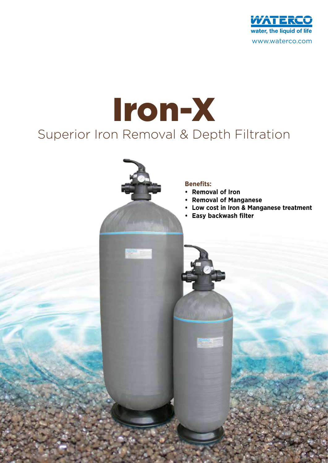

# Superior Iron Removal & Depth Filtration Iron-X